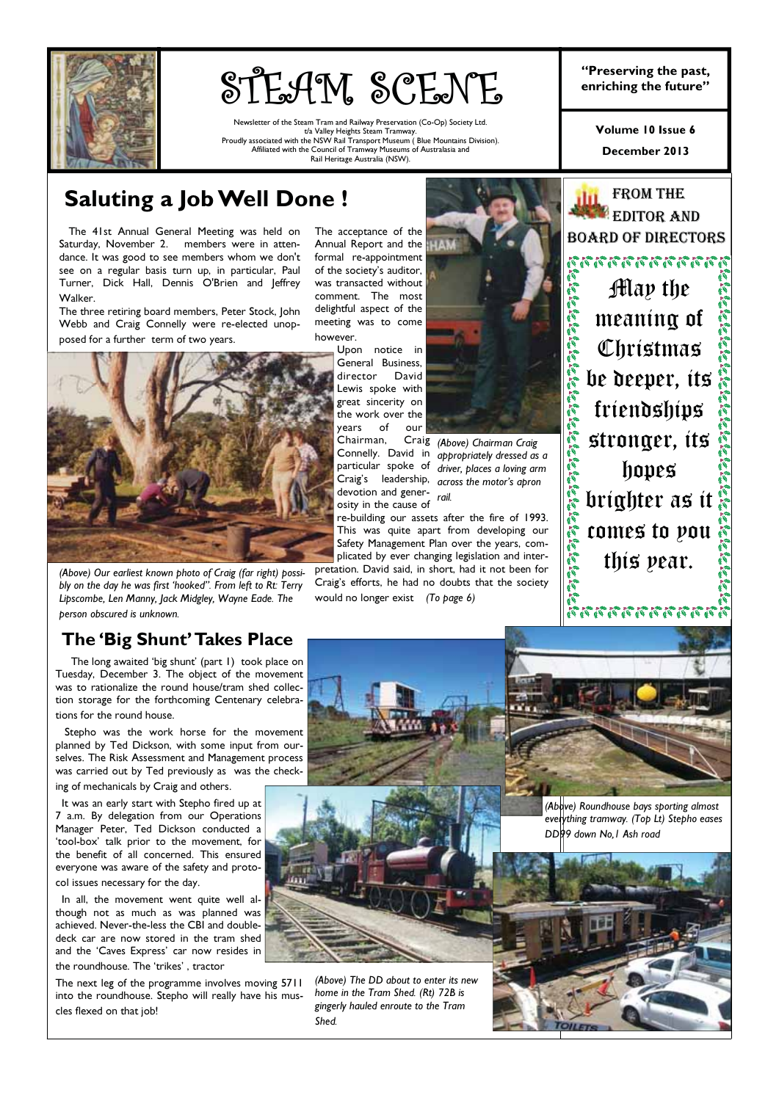

# STEAM SCENE

Newsletter of the Steam Tram and Railway Preservation (Co-Op) Society Ltd. t/a Valley Heights Steam Tramway. Proudly associated with the NSW Rail Transport Museum ( Blue Mountains Division). Affiliated with the Council of Tramway Museums of Australasia and Rail Heritage Australia (NSW).

"Preserving the past,

December 2013 Volume 10 Issue 6

**FROM THE EDITOR AND** BOARD OF DIRECTORS

May the

an an an an an an

meaning of

Christmas

be deeper, its

friendships

## Saluting a Job Well Done !

 The 41st Annual General Meeting was held on Saturday, November 2. members were in attendance. It was good to see members whom we don't see on a regular basis turn up, in particular, Paul Turner, Dick Hall, Dennis O'Brien and Jeffrey Walker.

The three retiring board members, Peter Stock, John Webb and Craig Connelly were re-elected unopposed for a further term of two years.

The acceptance of the Annual Report and the formal re-appointment of the society's auditor, was transacted without comment. The most delightful aspect of the meeting was to come however.

(Above) Our earliest known photo of Craig (far right) possibly on the day he was first 'hooked". From left to Rt: Terry Lipscombe, Len Manny, Jack Midgley, Wayne Eade. The person obscured is unknown.

The long awaited 'big shunt' (part 1) took place on Tuesday, December 3. The object of the movement was to rationalize the round house/tram shed collection storage for the forthcoming Centenary celebrations for the round house.

 Stepho was the work horse for the movement planned by Ted Dickson, with some input from ourselves. The Risk Assessment and Management process was carried out by Ted previously as was the checking of mechanicals by Craig and others.

 It was an early start with Stepho fired up at 7 a.m. By delegation from our Operations Manager Peter, Ted Dickson conducted a 'tool-box' talk prior to the movement, for the benefit of all concerned. This ensured everyone was aware of the safety and proto-

col issues necessary for the day. In all, the movement went quite well although not as much as was planned was achieved. Never-the-less the CBI and doubledeck car are now stored in the tram shed

and the 'Caves Express' car now resides in

the roundhouse. The 'trikes' , tractor The next leg of the programme involves moving 5711 into the roundhouse. Stepho will really have his muscles flexed on that job!

Upon notice in General Business, director David Lewis spoke with great sincerity on the work over the years of our Chairman,

Connelly. David in devotion and gener-<br>rail. osity in the cause of

re-building our assets after the fire of 1993. This was quite apart from developing our Safety Management Plan over the years, complicated by ever changing legislation and inter-

pretation. David said, in short, had it not been for Craig's efforts, he had no doubts that the society would no longer exist (To page 6)



particular spoke of driver, places a loving arm Craig's leadership, across the motor's apron (Above) Chairman Craig appropriately dressed as a

stronger, its hopes brighter as it comes to you this year.





(Above) The DD about to enter its new home in the Tram Shed. (Rt) 72B is gingerly hauled enroute to the Tram Shed.

(Above) Roundhouse bays sporting almost everything tramway. (Top Lt) Stepho eases DD99 down No,1 Ash road

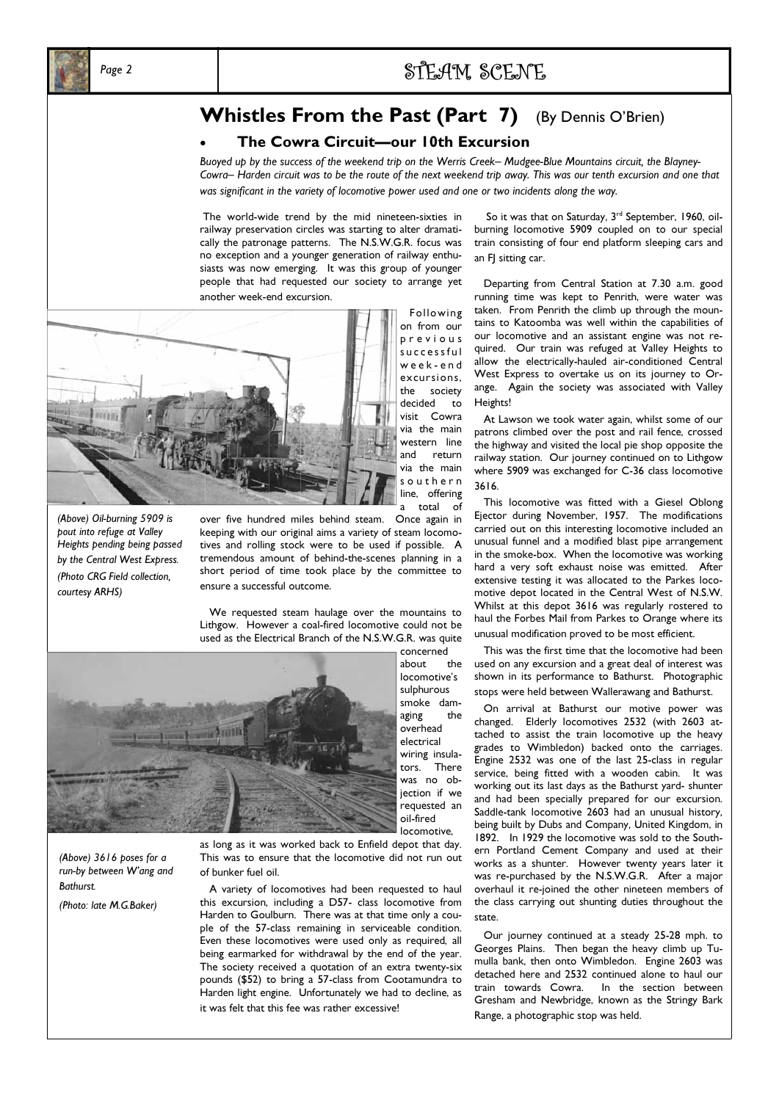

## Whistles From the Past (Part 7) (By Dennis O'Brien)

#### • The Cowra Circuit—our 10th Excursion

Buoyed up by the success of the weekend trip on the Werris Creek– Mudgee-Blue Mountains circuit, the Blayney-Cowra– Harden circuit was to be the route of the next weekend trip away. This was our tenth excursion and one that was significant in the variety of locomotive power used and one or two incidents along the way.

 The world-wide trend by the mid nineteen-sixties in railway preservation circles was starting to alter dramatically the patronage patterns. The N.S.W.G.R. focus was no exception and a younger generation of railway enthusiasts was now emerging. It was this group of younger people that had requested our society to arrange yet another week-end excursion.



(Above) Oil-burning 5909 is pout into refuge at Valley Heights pending being passed by the Central West Express. (Photo CRG Field collection, courtesy ARHS)

over five hundred miles behind steam. Once again in keeping with our original aims a variety of steam locomotives and rolling stock were to be used if possible. A tremendous amount of behind-the-scenes planning in a short period of time took place by the committee to ensure a successful outcome.

 We requested steam haulage over the mountains to Lithgow. However a coal-fired locomotive could not be used as the Electrical Branch of the N.S.W.G.R. was quite



(Above) 3616 poses for a run-by between W'ang and **Bathurst** 

(Photo: late M.G.Baker)

as long as it was worked back to Enfield depot that day. This was to ensure that the locomotive did not run out of bunker fuel oil.

 A variety of locomotives had been requested to haul this excursion, including a D57- class locomotive from Harden to Goulburn. There was at that time only a couple of the 57-class remaining in serviceable condition. Even these locomotives were used only as required, all being earmarked for withdrawal by the end of the year. The society received a quotation of an extra twenty-six pounds (\$52) to bring a 57-class from Cootamundra to Harden light engine. Unfortunately we had to decline, as it was felt that this fee was rather excessive!

So it was that on Saturday, 3<sup>rd</sup> September, 1960, oilburning locomotive 5909 coupled on to our special train consisting of four end platform sleeping cars and an FI sitting car.

 Departing from Central Station at 7.30 a.m. good running time was kept to Penrith, were water was taken. From Penrith the climb up through the mountains to Katoomba was well within the capabilities of our locomotive and an assistant engine was not required. Our train was refuged at Valley Heights to allow the electrically-hauled air-conditioned Central West Express to overtake us on its journey to Orange. Again the society was associated with Valley Heights!

 At Lawson we took water again, whilst some of our patrons climbed over the post and rail fence, crossed the highway and visited the local pie shop opposite the railway station. Our journey continued on to Lithgow where 5909 was exchanged for C-36 class locomotive 3616.

 This locomotive was fitted with a Giesel Oblong Ejector during November, 1957. The modifications carried out on this interesting locomotive included an unusual funnel and a modified blast pipe arrangement in the smoke-box. When the locomotive was working hard a very soft exhaust noise was emitted. After extensive testing it was allocated to the Parkes locomotive depot located in the Central West of N.S.W. Whilst at this depot 3616 was regularly rostered to haul the Forbes Mail from Parkes to Orange where its unusual modification proved to be most efficient.

 This was the first time that the locomotive had been used on any excursion and a great deal of interest was shown in its performance to Bathurst. Photographic stops were held between Wallerawang and Bathurst.

 On arrival at Bathurst our motive power was changed. Elderly locomotives 2532 (with 2603 attached to assist the train locomotive up the heavy grades to Wimbledon) backed onto the carriages. Engine 2532 was one of the last 25-class in regular service, being fitted with a wooden cabin. It was working out its last days as the Bathurst yard- shunter and had been specially prepared for our excursion. Saddle-tank locomotive 2603 had an unusual history, being built by Dubs and Company, United Kingdom, in 1892. In 1929 the locomotive was sold to the Southern Portland Cement Company and used at their works as a shunter. However twenty years later it was re-purchased by the N.S.W.G.R. After a major overhaul it re-joined the other nineteen members of the class carrying out shunting duties throughout the state.

 Our journey continued at a steady 25-28 mph. to Georges Plains. Then began the heavy climb up Tumulla bank, then onto Wimbledon. Engine 2603 was detached here and 2532 continued alone to haul our train towards Cowra. In the section between Gresham and Newbridge, known as the Stringy Bark Range, a photographic stop was held.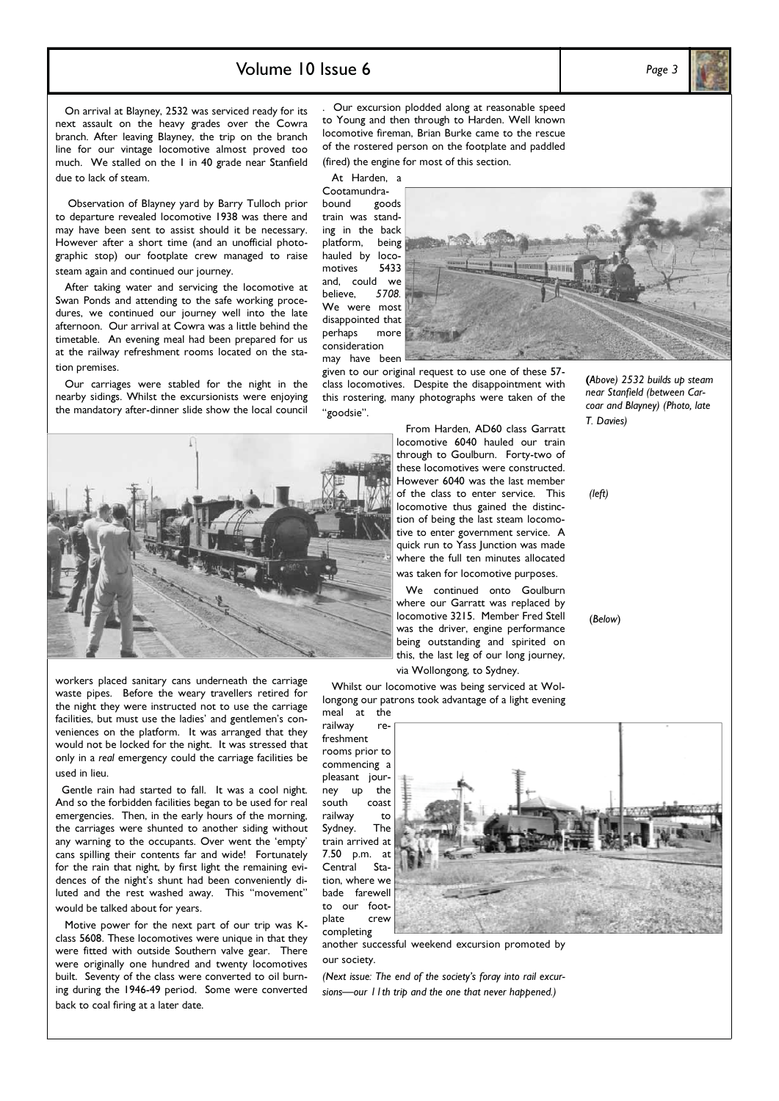### Volume  $10$  Issue 6  $P_{\text{age }3}$

 On arrival at Blayney, 2532 was serviced ready for its next assault on the heavy grades over the Cowra branch. After leaving Blayney, the trip on the branch line for our vintage locomotive almost proved too much. We stalled on the 1 in 40 grade near Stanfield due to lack of steam.

 Observation of Blayney yard by Barry Tulloch prior to departure revealed locomotive 1938 was there and may have been sent to assist should it be necessary. However after a short time (and an unofficial photographic stop) our footplate crew managed to raise steam again and continued our journey.

 After taking water and servicing the locomotive at Swan Ponds and attending to the safe working procedures, we continued our journey well into the late afternoon. Our arrival at Cowra was a little behind the timetable. An evening meal had been prepared for us at the railway refreshment rooms located on the station premises.

 Our carriages were stabled for the night in the nearby sidings. Whilst the excursionists were enjoying the mandatory after-dinner slide show the local council

. Our excursion plodded along at reasonable speed to Young and then through to Harden. Well known locomotive fireman, Brian Burke came to the rescue of the rostered person on the footplate and paddled (fired) the engine for most of this section.

At Harden, a

Cootamundrabound goods train was standing in the back platform, being hauled by loco-<br>motives 5433 motives and, could we<br>believe, 5708. believe, We were most disappointed that perhaps more consideration may have been



given to our original request to use one of these 57 class locomotives. Despite the disappointment with this rostering, many photographs were taken of the "goodsie".



locomotive 6040 hauled our train through to Goulburn. Forty-two of these locomotives were constructed. However 6040 was the last member of the class to enter service. This locomotive thus gained the distinction of being the last steam locomotive to enter government service. A quick run to Yass Junction was made where the full ten minutes allocated was taken for locomotive purposes.

From Harden, AD60 class Garratt

 We continued onto Goulburn where our Garratt was replaced by locomotive 3215. Member Fred Stell was the driver, engine performance being outstanding and spirited on this, the last leg of our long journey, via Wollongong, to Sydney.

 Whilst our locomotive was being serviced at Wollongong our patrons took advantage of a light evening

meal at the railway freshment rooms prior to commencing a pleasant journey up the south coast railway to Sydney. The train arrived at 7.50 p.m. at<br>Central Sta-Central tion, where we bade farewell to our footplate crew completing



another successful weekend excursion promoted by our society.

(Next issue: The end of the society's foray into rail excursions—our 11th trip and the one that never happened.)

(Above) 2532 builds up steam near Stanfield (between Carcoar and Blayney) (Photo, late T. Davies)

(left)

(Below)

workers placed sanitary cans underneath the carriage waste pipes. Before the weary travellers retired for the night they were instructed not to use the carriage facilities, but must use the ladies' and gentlemen's conveniences on the platform. It was arranged that they would not be locked for the night. It was stressed that only in a real emergency could the carriage facilities be used in lieu.

 Gentle rain had started to fall. It was a cool night. And so the forbidden facilities began to be used for real emergencies. Then, in the early hours of the morning, the carriages were shunted to another siding without any warning to the occupants. Over went the 'empty' cans spilling their contents far and wide! Fortunately for the rain that night, by first light the remaining evidences of the night's shunt had been conveniently diluted and the rest washed away. This "movement" would be talked about for years.

 Motive power for the next part of our trip was Kclass 5608. These locomotives were unique in that they were fitted with outside Southern valve gear. There were originally one hundred and twenty locomotives built. Seventy of the class were converted to oil burning during the 1946-49 period. Some were converted back to coal firing at a later date.

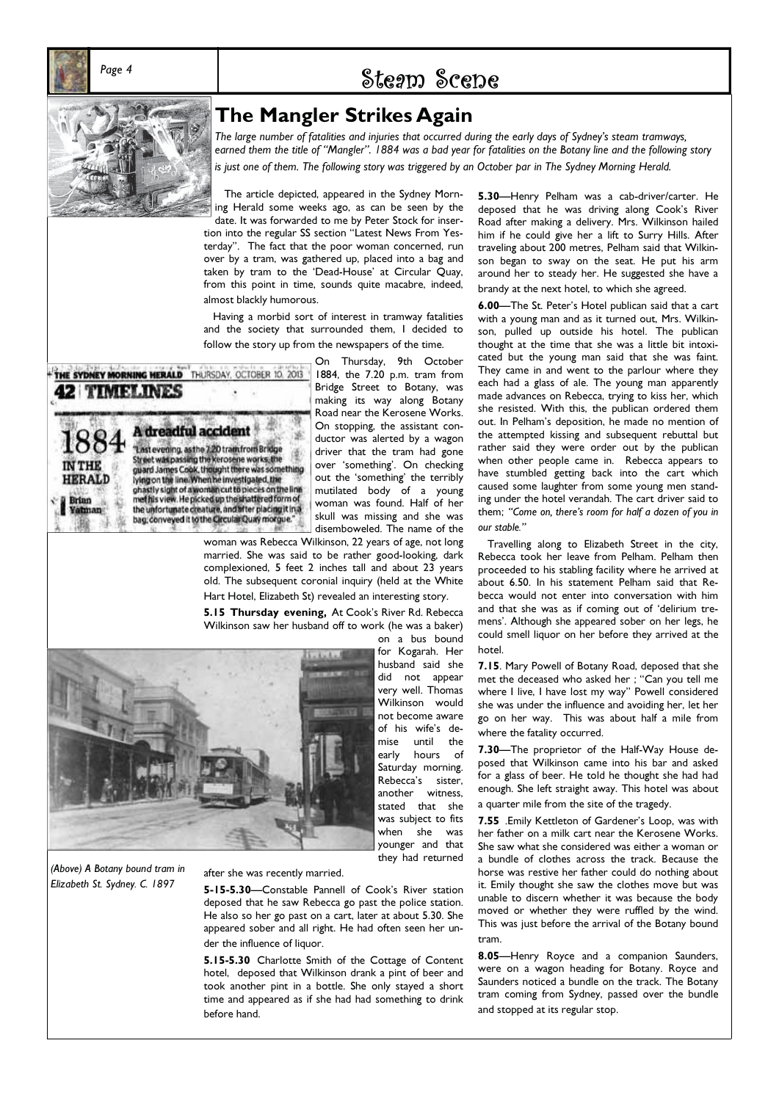

## Page 4 Steam Scene



**42 TIMELINES** 

**IN THE HERALD Brian** Yatman

THE SYDNEY MORNING HERALD THURSDAY, OCTOBER 10, 2013

A dreadful accident

"Last evening, as the 7.20 train from Bridge<br>Street was passing the kerosene works, the<br>guard James Cook, thought there was something<br>lying on the line. When he investigated, the<br>ghastly sight of a woman cut to pieces on t

the unfortunate creature, and after placing it in a bag, conveyed it to the Circular Quay morgue."

The large number of fatalities and injuries that occurred during the early days of Sydney's steam tramways, earned them the title of "Mangler". 1884 was a bad year for fatalities on the Botany line and the following story is just one of them. The following story was triggered by an October par in The Sydney Morning Herald.

 The article depicted, appeared in the Sydney Morning Herald some weeks ago, as can be seen by the date. It was forwarded to me by Peter Stock for insertion into the regular SS section "Latest News From Yesterday". The fact that the poor woman concerned, run over by a tram, was gathered up, placed into a bag and taken by tram to the 'Dead-House' at Circular Quay, from this point in time, sounds quite macabre, indeed, almost blackly humorous.

 Having a morbid sort of interest in tramway fatalities and the society that surrounded them, I decided to follow the story up from the newspapers of the time.

> On Thursday, 9th October 1884, the 7.20 p.m. tram from Bridge Street to Botany, was making its way along Botany Road near the Kerosene Works. On stopping, the assistant conductor was alerted by a wagon driver that the tram had gone over 'something'. On checking out the 'something' the terribly mutilated body of a young woman was found. Half of her skull was missing and she was disemboweled. The name of the

woman was Rebecca Wilkinson, 22 years of age, not long married. She was said to be rather good-looking, dark complexioned, 5 feet 2 inches tall and about 23 years old. The subsequent coronial inquiry (held at the White Hart Hotel, Elizabeth St) revealed an interesting story.

5.15 Thursday evening, At Cook's River Rd. Rebecca Wilkinson saw her husband off to work (he was a baker)

on a bus bound for Kogarah. Her husband said she did not appear very well. Thomas Wilkinson would not become aware of his wife's demise until the early hours of Saturday morning. Rebecca's sister, another witness, stated that she was subject to fits when she was younger and that they had returned

(Above) A Botany bound tram in Elizabeth St. Sydney. C. 1897

#### after she was recently married.

5-15-5.30—Constable Pannell of Cook's River station deposed that he saw Rebecca go past the police station. He also so her go past on a cart, later at about 5.30. She appeared sober and all right. He had often seen her under the influence of liquor.

5.15-5.30 Charlotte Smith of the Cottage of Content hotel, deposed that Wilkinson drank a pint of beer and took another pint in a bottle. She only stayed a short time and appeared as if she had had something to drink before hand.

5.30—Henry Pelham was a cab-driver/carter. He deposed that he was driving along Cook's River Road after making a delivery. Mrs. Wilkinson hailed him if he could give her a lift to Surry Hills. After traveling about 200 metres, Pelham said that Wilkinson began to sway on the seat. He put his arm around her to steady her. He suggested she have a brandy at the next hotel, to which she agreed.

6.00—The St. Peter's Hotel publican said that a cart with a young man and as it turned out, Mrs. Wilkinson, pulled up outside his hotel. The publican thought at the time that she was a little bit intoxicated but the young man said that she was faint. They came in and went to the parlour where they each had a glass of ale. The young man apparently made advances on Rebecca, trying to kiss her, which she resisted. With this, the publican ordered them out. In Pelham's deposition, he made no mention of the attempted kissing and subsequent rebuttal but rather said they were order out by the publican when other people came in. Rebecca appears to have stumbled getting back into the cart which caused some laughter from some young men standing under the hotel verandah. The cart driver said to them; "Come on, there's room for half a dozen of you in our stable."

 Travelling along to Elizabeth Street in the city, Rebecca took her leave from Pelham. Pelham then proceeded to his stabling facility where he arrived at about 6.50. In his statement Pelham said that Rebecca would not enter into conversation with him and that she was as if coming out of 'delirium tremens'. Although she appeared sober on her legs, he could smell liquor on her before they arrived at the hotel.

7.15. Mary Powell of Botany Road, deposed that she met the deceased who asked her ; "Can you tell me where I live, I have lost my way" Powell considered she was under the influence and avoiding her, let her go on her way. This was about half a mile from where the fatality occurred.

7.30—The proprietor of the Half-Way House deposed that Wilkinson came into his bar and asked for a glass of beer. He told he thought she had had enough. She left straight away. This hotel was about a quarter mile from the site of the tragedy.

7.55 .Emily Kettleton of Gardener's Loop, was with her father on a milk cart near the Kerosene Works. She saw what she considered was either a woman or a bundle of clothes across the track. Because the horse was restive her father could do nothing about it. Emily thought she saw the clothes move but was unable to discern whether it was because the body moved or whether they were ruffled by the wind. This was just before the arrival of the Botany bound tram.

8.05—Henry Royce and a companion Saunders, were on a wagon heading for Botany. Royce and Saunders noticed a bundle on the track. The Botany tram coming from Sydney, passed over the bundle and stopped at its regular stop.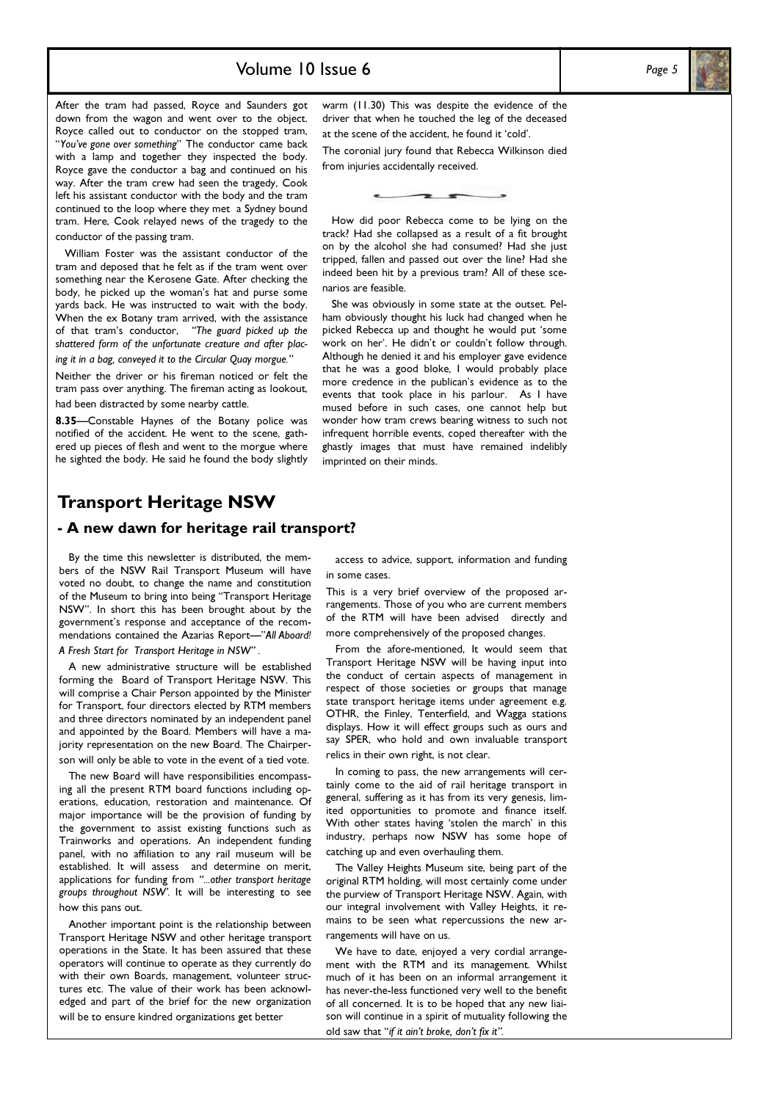### Volume  $10$  Issue 6 Page 5

After the tram had passed, Royce and Saunders got down from the wagon and went over to the object. Royce called out to conductor on the stopped tram, "You've gone over something" The conductor came back with a lamp and together they inspected the body. Royce gave the conductor a bag and continued on his way. After the tram crew had seen the tragedy, Cook left his assistant conductor with the body and the tram continued to the loop where they met a Sydney bound tram. Here, Cook relayed news of the tragedy to the conductor of the passing tram.

 William Foster was the assistant conductor of the tram and deposed that he felt as if the tram went over something near the Kerosene Gate. After checking the body, he picked up the woman's hat and purse some yards back. He was instructed to wait with the body. When the ex Botany tram arrived, with the assistance of that tram's conductor, "The guard picked up the shattered form of the unfortunate creature and after placing it in a bag, conveyed it to the Circular Quay morgue."

Neither the driver or his fireman noticed or felt the tram pass over anything. The fireman acting as lookout, had been distracted by some nearby cattle.

8.35—Constable Haynes of the Botany police was notified of the accident. He went to the scene, gathered up pieces of flesh and went to the morgue where he sighted the body. He said he found the body slightly warm (11.30) This was despite the evidence of the driver that when he touched the leg of the deceased at the scene of the accident, he found it 'cold'.

The coronial jury found that Rebecca Wilkinson died from injuries accidentally received.

 How did poor Rebecca come to be lying on the track? Had she collapsed as a result of a fit brought on by the alcohol she had consumed? Had she just tripped, fallen and passed out over the line? Had she indeed been hit by a previous tram? All of these scenarios are feasible.

 She was obviously in some state at the outset. Pelham obviously thought his luck had changed when he picked Rebecca up and thought he would put 'some work on her'. He didn't or couldn't follow through. Although he denied it and his employer gave evidence that he was a good bloke, I would probably place more credence in the publican's evidence as to the events that took place in his parlour. As I have mused before in such cases, one cannot help but wonder how tram crews bearing witness to such not infrequent horrible events, coped thereafter with the ghastly images that must have remained indelibly imprinted on their minds.

## - A new dawn for heritage rail transport?

 By the time this newsletter is distributed, the members of the NSW Rail Transport Museum will have voted no doubt, to change the name and constitution of the Museum to bring into being "Transport Heritage NSW". In short this has been brought about by the government's response and acceptance of the recommendations contained the Azarias Report—"All Aboard! A Fresh Start for Transport Heritage in NSW" .

 A new administrative structure will be established forming the Board of Transport Heritage NSW. This will comprise a Chair Person appointed by the Minister for Transport, four directors elected by RTM members and three directors nominated by an independent panel and appointed by the Board. Members will have a majority representation on the new Board. The Chairperson will only be able to vote in the event of a tied vote.

 The new Board will have responsibilities encompassing all the present RTM board functions including operations, education, restoration and maintenance. Of major importance will be the provision of funding by the government to assist existing functions such as Trainworks and operations. An independent funding panel, with no affiliation to any rail museum will be established. It will assess and determine on merit, applications for funding from "...other transport heritage groups throughout NSW'. It will be interesting to see how this pans out.

 Another important point is the relationship between Transport Heritage NSW and other heritage transport operations in the State. It has been assured that these operators will continue to operate as they currently do with their own Boards, management, volunteer structures etc. The value of their work has been acknowledged and part of the brief for the new organization will be to ensure kindred organizations get better

 access to advice, support, information and funding in some cases.

This is a very brief overview of the proposed arrangements. Those of you who are current members of the RTM will have been advised directly and more comprehensively of the proposed changes.

 From the afore-mentioned, It would seem that Transport Heritage NSW will be having input into the conduct of certain aspects of management in respect of those societies or groups that manage state transport heritage items under agreement e.g. OTHR, the Finley, Tenterfield, and Wagga stations displays. How it will effect groups such as ours and say SPER, who hold and own invaluable transport relics in their own right, is not clear.

 In coming to pass, the new arrangements will certainly come to the aid of rail heritage transport in general, suffering as it has from its very genesis, limited opportunities to promote and finance itself. With other states having 'stolen the march' in this industry, perhaps now NSW has some hope of catching up and even overhauling them.

 The Valley Heights Museum site, being part of the original RTM holding, will most certainly come under the purview of Transport Heritage NSW. Again, with our integral involvement with Valley Heights, it remains to be seen what repercussions the new arrangements will have on us.

 We have to date, enjoyed a very cordial arrangement with the RTM and its management. Whilst much of it has been on an informal arrangement it has never-the-less functioned very well to the benefit of all concerned. It is to be hoped that any new liaison will continue in a spirit of mutuality following the old saw that "if it ain't broke, don't fix it".